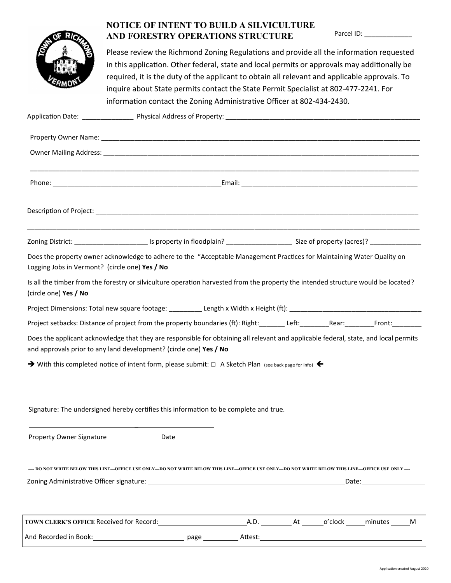

## NOTICE OF INTENT TO BUILD A SILVICULTURE AND FORESTRY OPERATIONS STRUCTURE

Parcel ID: \_\_\_\_\_\_\_\_\_\_\_\_\_

Please review the Richmond Zoning Regulations and provide all the information requested in this application. Other federal, state and local permits or approvals may additionally be required, it is the duty of the applicant to obtain all relevant and applicable approvals. To inquire about State permits contact the State Permit Specialist at 802-477-2241. For information contact the Zoning Administrative Officer at 802-434-2430.

|                                                                                                                                                                                                            | Zoning District: _________________________ Is property in floodplain? _____________________________ Size of property (acres)? _________________________ |  |  |  |                                                                                                                                                                                                                                |  |  |  |  |
|------------------------------------------------------------------------------------------------------------------------------------------------------------------------------------------------------------|---------------------------------------------------------------------------------------------------------------------------------------------------------|--|--|--|--------------------------------------------------------------------------------------------------------------------------------------------------------------------------------------------------------------------------------|--|--|--|--|
| Does the property owner acknowledge to adhere to the "Acceptable Management Practices for Maintaining Water Quality on<br>Logging Jobs in Vermont? (circle one) Yes / No                                   |                                                                                                                                                         |  |  |  |                                                                                                                                                                                                                                |  |  |  |  |
| Is all the timber from the forestry or silviculture operation harvested from the property the intended structure would be located?<br>(circle one) Yes / No                                                |                                                                                                                                                         |  |  |  |                                                                                                                                                                                                                                |  |  |  |  |
|                                                                                                                                                                                                            |                                                                                                                                                         |  |  |  |                                                                                                                                                                                                                                |  |  |  |  |
| Project setbacks: Distance of project from the property boundaries (ft): Right: ________Left: _________Rear: ________Front: __________                                                                     |                                                                                                                                                         |  |  |  |                                                                                                                                                                                                                                |  |  |  |  |
| Does the applicant acknowledge that they are responsible for obtaining all relevant and applicable federal, state, and local permits<br>and approvals prior to any land development? (circle one) Yes / No |                                                                                                                                                         |  |  |  |                                                                                                                                                                                                                                |  |  |  |  |
| $\rightarrow$ With this completed notice of intent form, please submit: $\Box$ A Sketch Plan (see back page for info)                                                                                      |                                                                                                                                                         |  |  |  |                                                                                                                                                                                                                                |  |  |  |  |
| Signature: The undersigned hereby certifies this information to be complete and true.                                                                                                                      |                                                                                                                                                         |  |  |  |                                                                                                                                                                                                                                |  |  |  |  |
| <b>Property Owner Signature</b>                                                                                                                                                                            | Date                                                                                                                                                    |  |  |  |                                                                                                                                                                                                                                |  |  |  |  |
| -- DO NOT WRITE BELOW THIS LINE—OFFICE USE ONLY—DO NOT WRITE BELOW THIS LINE—OFFICE USE ONLY—DO NOT WRITE BELOW THIS LINE—OFFICE USE ONLY —                                                                |                                                                                                                                                         |  |  |  |                                                                                                                                                                                                                                |  |  |  |  |
|                                                                                                                                                                                                            |                                                                                                                                                         |  |  |  | Date: the contract of the contract of the contract of the contract of the contract of the contract of the contract of the contract of the contract of the contract of the contract of the contract of the contract of the cont |  |  |  |  |
|                                                                                                                                                                                                            |                                                                                                                                                         |  |  |  |                                                                                                                                                                                                                                |  |  |  |  |
|                                                                                                                                                                                                            |                                                                                                                                                         |  |  |  |                                                                                                                                                                                                                                |  |  |  |  |
|                                                                                                                                                                                                            |                                                                                                                                                         |  |  |  |                                                                                                                                                                                                                                |  |  |  |  |